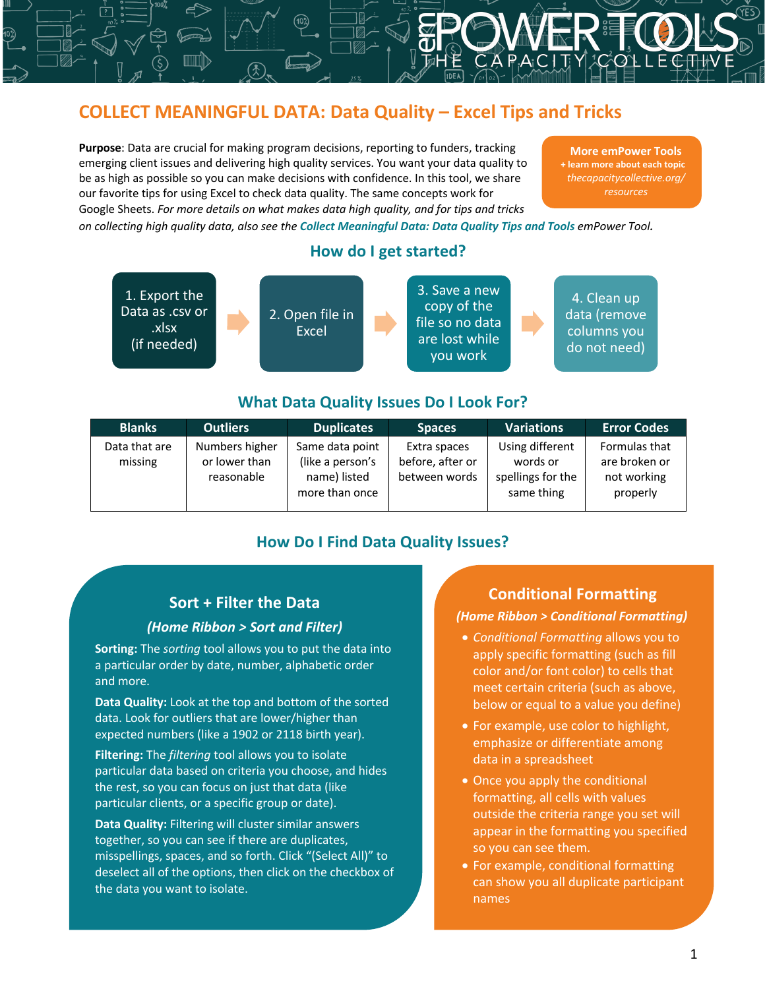### **COLLECT MEANINGFUL DATA: Data Quality – Excel Tips and Tricks**

**Purpose**: Data are crucial for making program decisions, reporting to funders, tracking emerging client issues and delivering high quality services. You want your data quality to be as high as possible so you can make decisions with confidence. In this tool, we share our favorite tips for using Excel to check data quality. The same concepts work for Google Sheets. *For more details on what makes data high quality, and for tips and tricks* 

**More emPower Tools + learn more about each topic** *thecapacitycollective.org/ resources*

*on collecting high quality data, also see the Collect Meaningful Data: Data Quality Tips and Tools emPower Tool.*



## **What Data Quality Issues Do I Look For?**

| <b>Blanks</b>            | <b>Outliers</b>                               | <b>Duplicates</b>                                                     | <b>Spaces</b>                                     | <b>Variations</b>                                              | <b>Error Codes</b>                                        |
|--------------------------|-----------------------------------------------|-----------------------------------------------------------------------|---------------------------------------------------|----------------------------------------------------------------|-----------------------------------------------------------|
| Data that are<br>missing | Numbers higher<br>or lower than<br>reasonable | Same data point<br>(like a person's<br>name) listed<br>more than once | Extra spaces<br>before, after or<br>between words | Using different<br>words or<br>spellings for the<br>same thing | Formulas that<br>are broken or<br>not working<br>properly |

#### **How Do I Find Data Quality Issues?**

#### **Sort + Filter the Data**

#### *(Home Ribbon > Sort and Filter)*

**Sorting:** The *sorting* tool allows you to put the data into a particular order by date, number, alphabetic order and more.

**Data Quality:** Look at the top and bottom of the sorted data. Look for outliers that are lower/higher than expected numbers (like a 1902 or 2118 birth year).

**Filtering:** The *filtering* tool allows you to isolate particular data based on criteria you choose, and hides the rest, so you can focus on just that data (like particular clients, or a specific group or date).

**Data Quality:** Filtering will cluster similar answers together, so you can see if there are duplicates, misspellings, spaces, and so forth. Click "(Select All)" to deselect all of the options, then click on the checkbox of the data you want to isolate.

I

#### **Conditional Formatting**

#### *(Home Ribbon > Conditional Formatting)*

- *Conditional Formatting* allows you to apply specific formatting (such as fill color and/or font color) to cells that meet certain criteria (such as above, below or equal to a value you define)
- For example, use color to highlight, emphasize or differentiate among data in a spreadsheet
- Once you apply the conditional formatting, all cells with values outside the criteria range you set will appear in the formatting you specified so you can see them.
- For example, conditional formatting can show you all duplicate participant names